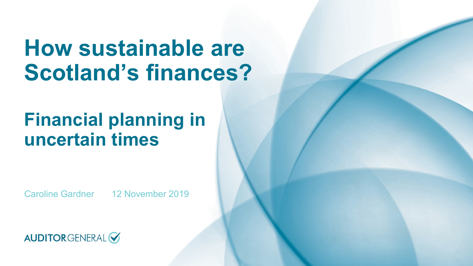# **How sustainable are Scotland's finances?**

# **Financial planning in uncertain times**

Caroline Gardner 12 November 2019

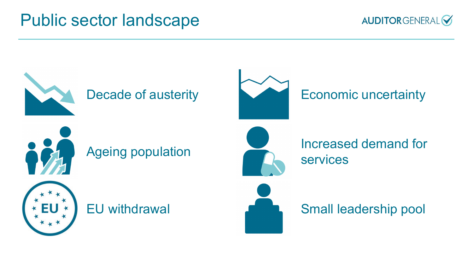#### Public sector landscape



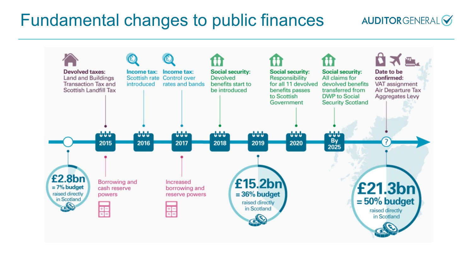#### Fundamental changes to public finances



**AUDITORGENERAL**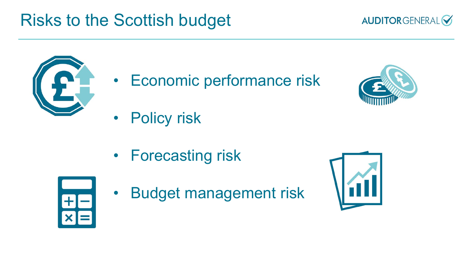### Risks to the Scottish budget





- Economic performance risk
- Policy risk
- Forecasting risk



**Budget management risk** 



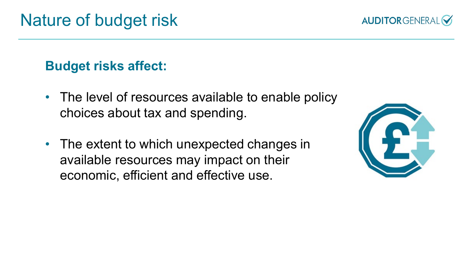**Budget risks affect:** 

- The level of resources available to enable policy choices about tax and spending.
- The extent to which unexpected changes in available resources may impact on their economic, efficient and effective use.



**AUDITORGENERAL**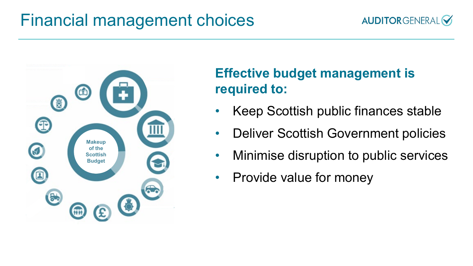#### Financial management choices





#### **Effective budget management is required to:**

- Keep Scottish public finances stable
- Deliver Scottish Government policies
- Minimise disruption to public services
- Provide value for money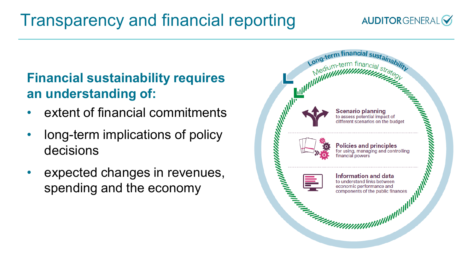# Transparency and financial reporting

#### **AUDITORGENERAL**

#### **Financial sustainability requires an understanding of:**

- extent of financial commitments
- long-term implications of policy decisions
- expected changes in revenues, spending and the economy